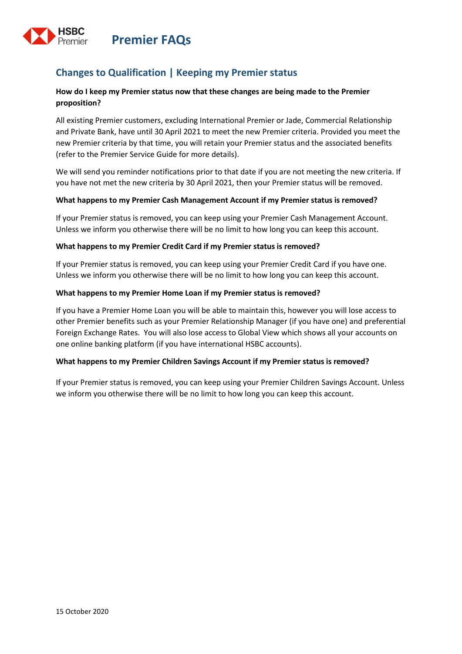



## **Changes to Qualification | Keeping my Premier status**

### **How do I keep my Premier status now that these changes are being made to the Premier proposition?**

All existing Premier customers, excluding International Premier or Jade, Commercial Relationship and Private Bank, have until 30 April 2021 to meet the new Premier criteria. Provided you meet the new Premier criteria by that time, you will retain your Premier status and the associated benefits (refer to the Premier Service Guide for more details).

We will send you reminder notifications prior to that date if you are not meeting the new criteria. If you have not met the new criteria by 30 April 2021, then your Premier status will be removed.

### **What happens to my Premier Cash Management Account if my Premier status is removed?**

If your Premier status is removed, you can keep using your Premier Cash Management Account. Unless we inform you otherwise there will be no limit to how long you can keep this account.

#### **What happens to my Premier Credit Card if my Premier status is removed?**

If your Premier status is removed, you can keep using your Premier Credit Card if you have one. Unless we inform you otherwise there will be no limit to how long you can keep this account.

### **What happens to my Premier Home Loan if my Premier status is removed?**

If you have a Premier Home Loan you will be able to maintain this, however you will lose access to other Premier benefits such as your Premier Relationship Manager (if you have one) and preferential Foreign Exchange Rates. You will also lose access to Global View which shows all your accounts on one online banking platform (if you have international HSBC accounts).

#### **What happens to my Premier Children Savings Account if my Premier status is removed?**

If your Premier status is removed, you can keep using your Premier Children Savings Account. Unless we inform you otherwise there will be no limit to how long you can keep this account.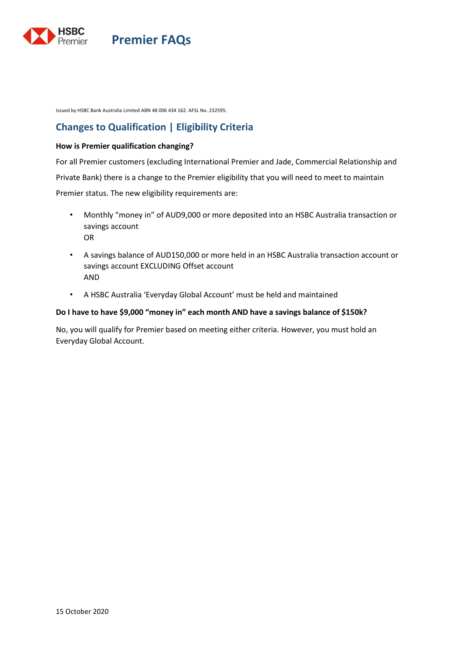

**Premier FAQs**

Issued by HSBC Bank Australia Limited ABN 48 006 434 162. AFSL No. 232595.

## **Changes to Qualification | Eligibility Criteria**

#### **How is Premier qualification changing?**

For all Premier customers (excluding International Premier and Jade, Commercial Relationship and Private Bank) there is a change to the Premier eligibility that you will need to meet to maintain Premier status. The new eligibility requirements are:

- Monthly "money in" of AUD9,000 or more deposited into an HSBC Australia transaction or savings account OR
- A savings balance of AUD150,000 or more held in an HSBC Australia transaction account or savings account EXCLUDING Offset account AND
- A HSBC Australia 'Everyday Global Account' must be held and maintained

#### **Do I have to have \$9,000 "money in" each month AND have a savings balance of \$150k?**

No, you will qualify for Premier based on meeting either criteria. However, you must hold an Everyday Global Account.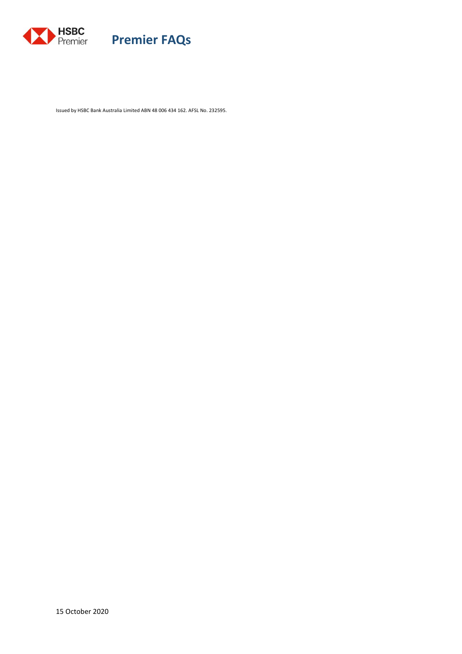

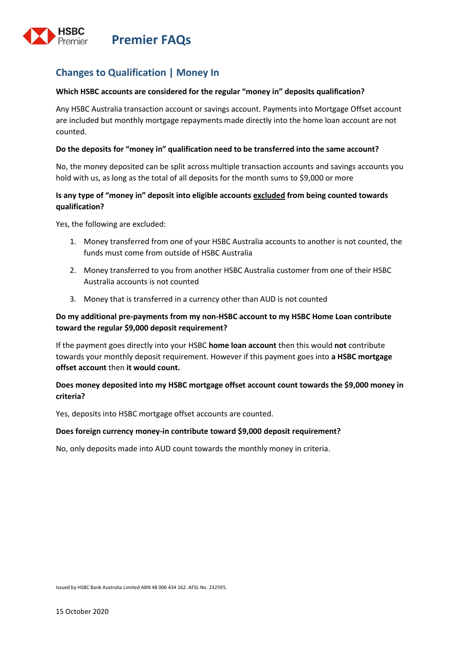

# **Changes to Qualification | Money In**

#### **Which HSBC accounts are considered for the regular "money in" deposits qualification?**

Any HSBC Australia transaction account or savings account. Payments into Mortgage Offset account are included but monthly mortgage repayments made directly into the home loan account are not counted.

#### **Do the deposits for "money in" qualification need to be transferred into the same account?**

No, the money deposited can be split across multiple transaction accounts and savings accounts you hold with us, as long as the total of all deposits for the month sums to \$9,000 or more

### **Is any type of "money in" deposit into eligible accounts excluded from being counted towards qualification?**

Yes, the following are excluded:

- 1. Money transferred from one of your HSBC Australia accounts to another is not counted, the funds must come from outside of HSBC Australia
- 2. Money transferred to you from another HSBC Australia customer from one of their HSBC Australia accounts is not counted
- 3. Money that is transferred in a currency other than AUD is not counted

### **Do my additional pre-payments from my non-HSBC account to my HSBC Home Loan contribute toward the regular \$9,000 deposit requirement?**

If the payment goes directly into your HSBC **home loan account** then this would **not** contribute towards your monthly deposit requirement. However if this payment goes into **a HSBC mortgage offset account** then **it would count.**

### **Does money deposited into my HSBC mortgage offset account count towards the \$9,000 money in criteria?**

Yes, deposits into HSBC mortgage offset accounts are counted.

#### **Does foreign currency money-in contribute toward \$9,000 deposit requirement?**

No, only deposits made into AUD count towards the monthly money in criteria.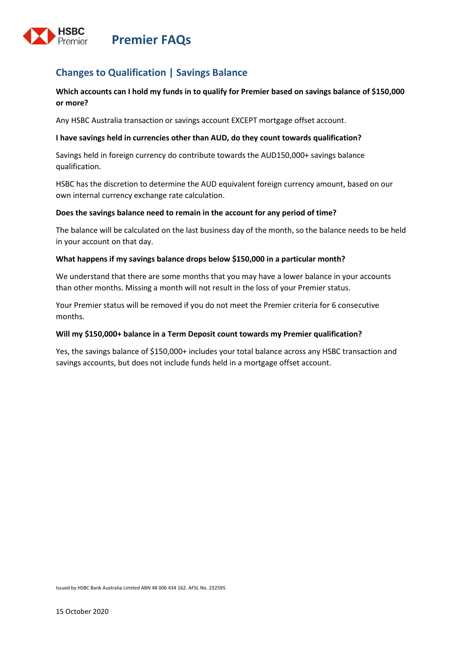

## **Changes to Qualification | Savings Balance**

### **Which accounts can I hold my funds in to qualify for Premier based on savings balance of \$150,000 or more?**

Any HSBC Australia transaction or savings account EXCEPT mortgage offset account.

#### **I have savings held in currencies other than AUD, do they count towards qualification?**

Savings held in foreign currency do contribute towards the AUD150,000+ savings balance qualification.

HSBC has the discretion to determine the AUD equivalent foreign currency amount, based on our own internal currency exchange rate calculation.

#### **Does the savings balance need to remain in the account for any period of time?**

The balance will be calculated on the last business day of the month, so the balance needs to be held in your account on that day.

#### **What happens if my savings balance drops below \$150,000 in a particular month?**

We understand that there are some months that you may have a lower balance in your accounts than other months. Missing a month will not result in the loss of your Premier status.

Your Premier status will be removed if you do not meet the Premier criteria for 6 consecutive months.

#### **Will my \$150,000+ balance in a Term Deposit count towards my Premier qualification?**

Yes, the savings balance of \$150,000+ includes your total balance across any HSBC transaction and savings accounts, but does not include funds held in a mortgage offset account.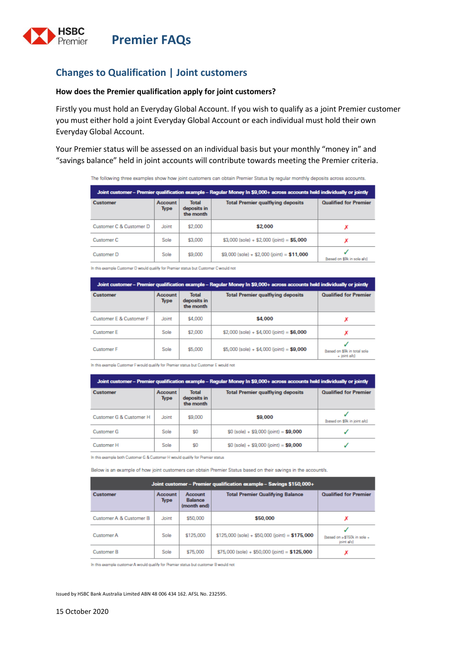

## **Changes to Qualification | Joint customers**

#### **How does the Premier qualification apply for joint customers?**

Firstly you must hold an Everyday Global Account. If you wish to qualify as a joint Premier customer you must either hold a joint Everyday Global Account or each individual must hold their own Everyday Global Account.

Your Premier status will be assessed on an individual basis but your monthly "money in" and "savings balance" held in joint accounts will contribute towards meeting the Premier criteria.

The following three examples show how joint customers can obtain Premier Status by regular monthly deposits across accounts.

| Joint customer – Premier qualification example – Regular Money In \$9,000+ across accounts held individually or jointly |                 |                                          |                                              |                              |
|-------------------------------------------------------------------------------------------------------------------------|-----------------|------------------------------------------|----------------------------------------------|------------------------------|
| <b>Customer</b>                                                                                                         | Account<br>Type | <b>Total</b><br>deposits in<br>the month | <b>Total Premier qualfiying deposits</b>     | <b>Qualified for Premier</b> |
| Customer C & Customer D                                                                                                 | Joint           | \$2,000                                  | \$2,000                                      | х                            |
| Customer <sub>C</sub>                                                                                                   | Sole            | \$3,000                                  | $$3,000$ (sole) + \$2,000 (joint) = \$5,000  | x                            |
| Customer D                                                                                                              | Sole            | \$9,000                                  | $$9,000$ (sole) + \$2,000 (joint) = \$11,000 | (based on \$9k in sole a/c)  |

In this example Customer D would qualify for Premier status but Customer C would not

| Joint customer – Premier qualification example – Regular Money In \$9,000+ across accounts held individually or jointly |                 |                                          |                                             |                                                  |  |
|-------------------------------------------------------------------------------------------------------------------------|-----------------|------------------------------------------|---------------------------------------------|--------------------------------------------------|--|
| <b>Customer</b>                                                                                                         | Account<br>Type | <b>Total</b><br>deposits in<br>the month | <b>Total Premier qualfiying deposits</b>    | <b>Qualified for Premier</b>                     |  |
| Customer E & Customer F                                                                                                 | Joint           | \$4,000                                  | \$4,000                                     |                                                  |  |
| <b>Customer E</b>                                                                                                       | Sole            | \$2,000                                  | $$2,000$ (sole) + \$4,000 (joint) = \$6,000 |                                                  |  |
| <b>Customer F</b>                                                                                                       | Sole            | \$5,000                                  | $$5,000$ (sole) + \$4,000 (joint) = \$9,000 | (based on \$9k in total sole)<br>$+$ joint $a/c$ |  |

In this example Customer F would qualify for Premier status but Customer E would not

| Joint customer - Premier qualification example - Regular Money In \$9,000+ across accounts held individually or jointly |                 |                                          |                                           |                              |
|-------------------------------------------------------------------------------------------------------------------------|-----------------|------------------------------------------|-------------------------------------------|------------------------------|
| Customer                                                                                                                | Account<br>Type | <b>Total</b><br>deposits in<br>the month | <b>Total Premier qualfiying deposits</b>  | <b>Qualified for Premier</b> |
| Customer G & Customer H                                                                                                 | Joint           | \$9,000                                  | \$9,000                                   | (based on \$9k in joint a/c) |
| <b>Customer G</b>                                                                                                       | Sole            | \$O                                      | $$0$ (sole) + $$9,000$ (joint) = $$9,000$ |                              |
| <b>Customer H</b>                                                                                                       | Sole            | \$0                                      | $$0$ (sole) + $$9,000$ (joint) = $$9,000$ |                              |

In this example both Customer G & Customer H would qualify for Premier status

Below is an example of how joint customers can obtain Premier Status based on their savings in the account/s.

| Joint customer - Premier qualification example - Savings \$150,000+ |                 |                                          |                                                  |                                           |  |
|---------------------------------------------------------------------|-----------------|------------------------------------------|--------------------------------------------------|-------------------------------------------|--|
| Customer                                                            | Account<br>Type | Account<br><b>Balance</b><br>(month end) | <b>Total Premier Qualifying Balance</b>          | <b>Qualified for Premier</b>              |  |
| Customer A & Customer B                                             | Joint           | \$50,000                                 | \$50,000                                         |                                           |  |
| <b>Customer A</b>                                                   | Sole            | \$125,000                                | $$125,000$ (sole) + \$50,000 (joint) = \$175,000 | (based on >\$150k in sole +<br>joint a/c) |  |
| <b>Customer B</b>                                                   | Sole            | \$75,000                                 | $$75,000$ (sole) + \$50,000 (joint) = \$125,000  | x                                         |  |

In this example oustomer A would qualify for Premier status but oustomer B would not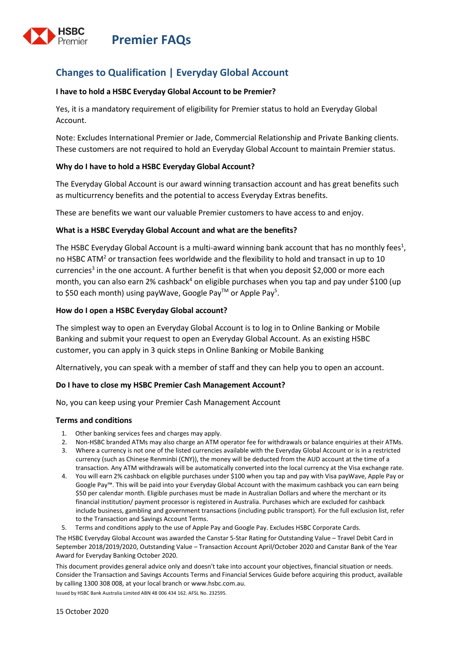



## **Changes to Qualification | Everyday Global Account**

#### **I have to hold a HSBC Everyday Global Account to be Premier?**

Yes, it is a mandatory requirement of eligibility for Premier status to hold an Everyday Global Account.

Note: Excludes International Premier or Jade, Commercial Relationship and Private Banking clients. These customers are not required to hold an Everyday Global Account to maintain Premier status.

#### **Why do I have to hold a HSBC Everyday Global Account?**

The Everyday Global Account is our award winning transaction account and has great benefits such as multicurrency benefits and the potential to access Everyday Extras benefits.

These are benefits we want our valuable Premier customers to have access to and enjoy.

#### **What is a HSBC Everyday Global Account and what are the benefits?**

The HSBC Everyday Global Account is a multi-award winning bank account that has no monthly fees<sup>1</sup>, no HSBC ATM<sup>2</sup> or transaction fees worldwide and the flexibility to hold and transact in up to 10 currencies<sup>3</sup> in the one account. A further benefit is that when you deposit \$2,000 or more each month, you can also earn 2% cashback<sup>4</sup> on eligible purchases when you tap and pay under \$100 (up to \$50 each month) using payWave, Google Pay™ or Apple Pay<sup>5</sup>.

#### **How do I open a HSBC Everyday Global account?**

The simplest way to open an Everyday Global Account is to log in to Online Banking or Mobile Banking and submit your request to open an Everyday Global Account. As an existing HSBC customer, you can apply in 3 quick steps in Online Banking or Mobile Banking

Alternatively, you can speak with a member of staff and they can help you to open an account.

#### **Do I have to close my HSBC Premier Cash Management Account?**

No, you can keep using your Premier Cash Management Account

#### **Terms and conditions**

- 1. Other banking services fees and charges may apply.
- 2. Non-HSBC branded ATMs may also charge an ATM operator fee for withdrawals or balance enquiries at their ATMs.
- 3. Where a currency is not one of the listed currencies available with the Everyday Global Account or is in a restricted currency (such as Chinese Renminbi (CNY)), the money will be deducted from the AUD account at the time of a transaction. Any ATM withdrawals will be automatically converted into the local currency at the Visa exchange rate.
- 4. You will earn 2% cashback on eligible purchases under \$100 when you tap and pay with Visa payWave, Apple Pay or Google Pay™. This will be paid into your Everyday Global Account with the maximum cashback you can earn being \$50 per calendar month. Eligible purchases must be made in Australian Dollars and where the merchant or its financial institution/ payment processor is registered in Australia. Purchases which are excluded for cashback include business, gambling and government transactions (including public transport). For the full exclusion list, refer to th[e Transaction and Savings Account Terms.](https://www.hsbc.com.au/content/dam/hsbc/au/docs/accounts/transaction-savings-terms-and-conditions.pdf)
- 5. Terms and conditions apply to the use o[f Apple Pay](https://www.hsbc.com.au/ways-to-bank/mobile-banking/apple-pay/) an[d Google Pay.](https://www.hsbc.com.au/ways-to-bank/mobile-banking/google-pay/) Excludes HSBC Corporate Cards.

The HSBC Everyday Global Account was awarded the Canstar 5-Star Rating for Outstanding Value – Travel Debit Card in September 2018/2019/2020, Outstanding Value – Transaction Account April/October 2020 and Canstar Bank of the Year Award for Everyday Banking October 2020.

This document provides general advice only and doesn't take into account your objectives, financial situation or needs. Consider the [Transaction and Savings Accounts Terms a](https://www.hsbc.com.au/content/dam/hsbc/au/docs/accounts/transaction-savings-terms-and-conditions.pdf)nd [Financial Services Guide](https://www.hsbc.com.au/content/dam/hsbc/au/docs/accounts/transaction-savings-financial-services-guide.pdf) before acquiring this product, available by calling [1300 308 008,](tel:1300308008) at your local branch o[r www.hsbc.com.au.](https://www.hsbc.com.au/)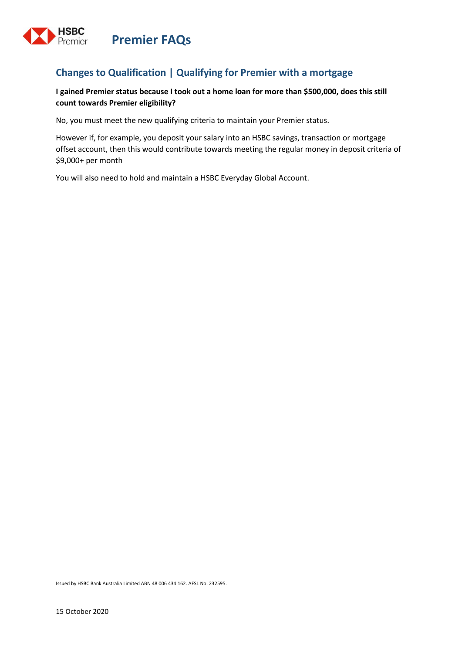

## **Changes to Qualification | Qualifying for Premier with a mortgage**

## **I gained Premier status because I took out a home loan for more than \$500,000, does this still count towards Premier eligibility?**

No, you must meet the new qualifying criteria to maintain your Premier status.

However if, for example, you deposit your salary into an HSBC savings, transaction or mortgage offset account, then this would contribute towards meeting the regular money in deposit criteria of \$9,000+ per month

You will also need to hold and maintain a HSBC Everyday Global Account.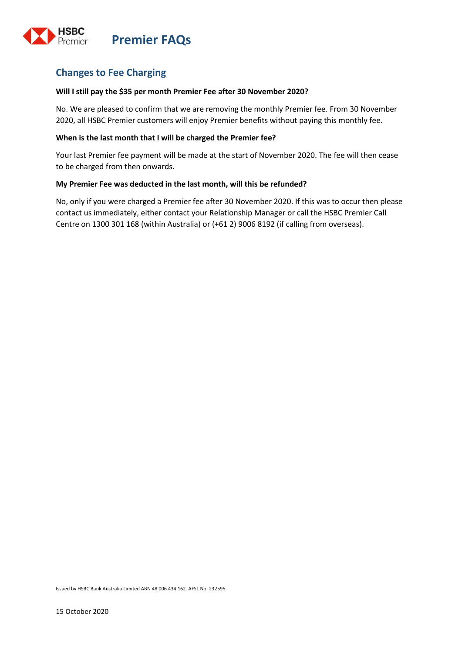

## **Changes to Fee Charging**

#### **Will I still pay the \$35 per month Premier Fee after 30 November 2020?**

No. We are pleased to confirm that we are removing the monthly Premier fee. From 30 November 2020, all HSBC Premier customers will enjoy Premier benefits without paying this monthly fee.

#### **When is the last month that I will be charged the Premier fee?**

Your last Premier fee payment will be made at the start of November 2020. The fee will then cease to be charged from then onwards.

#### **My Premier Fee was deducted in the last month, will this be refunded?**

No, only if you were charged a Premier fee after 30 November 2020. If this was to occur then please contact us immediately, either contact your Relationship Manager or call the HSBC Premier Call Centre on 1300 301 168 (within Australia) or (+61 2) 9006 8192 (if calling from overseas).